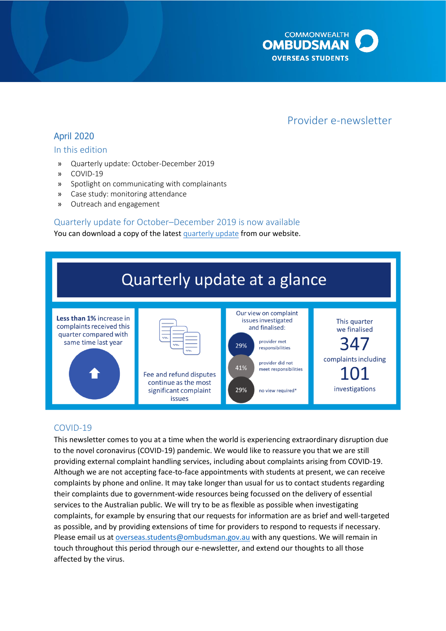

# Provider e-newsletter

# April 2020

### In this edition

- » Quarterly update: October-December 2019
- » COVID-19
- » Spotlight on communicating with complainants
- » Case study: monitoring attendance
- » Outreach and engagement

## Quarterly update for October–December 2019 is now available

#### You can download a copy of the latest [quarterly update](http://www.ombudsman.gov.au/publications/industry/oso-quarterly-reports) from our website.



## COVID-19

This newsletter comes to you at a time when the world is experiencing extraordinary disruption due to the novel coronavirus (COVID-19) pandemic. We would like to reassure you that we are still providing external complaint handling services, including about complaints arising from COVID-19. Although we are not accepting face-to-face appointments with students at present, we can receive complaints by phone and online. It may take longer than usual for us to contact students regarding their complaints due to government-wide resources being focussed on the delivery of essential services to the Australian public. We will try to be as flexible as possible when investigating complaints, for example by ensuring that our requests for information are as brief and well-targeted as possible, and by providing extensions of time for providers to respond to requests if necessary. Please email us at [overseas.students@ombudsman.gov.au](mailto:overseas.students@ombudsman.gov.au) with any questions. We will remain in touch throughout this period through our e-newsletter, and extend our thoughts to all those affected by the virus.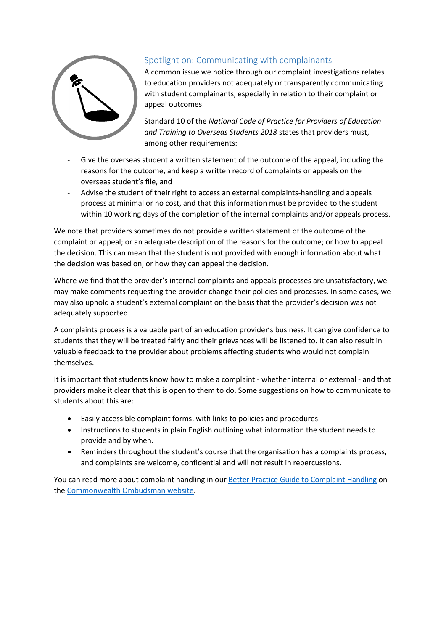

# Spotlight on: Communicating with complainants

A common issue we notice through our complaint investigations relates to education providers not adequately or transparently communicating with student complainants, especially in relation to their complaint or appeal outcomes.

Standard 10 of the *National Code of Practice for Providers of Education and Training to Overseas Students 2018* states that providers must, among other requirements:

- Give the overseas student a written statement of the outcome of the appeal, including the reasons for the outcome, and keep a written record of complaints or appeals on the overseas student's file, and
- Advise the student of their right to access an external complaints-handling and appeals process at minimal or no cost, and that this information must be provided to the student within 10 working days of the completion of the internal complaints and/or appeals process.

We note that providers sometimes do not provide a written statement of the outcome of the complaint or appeal; or an adequate description of the reasons for the outcome; or how to appeal the decision. This can mean that the student is not provided with enough information about what the decision was based on, or how they can appeal the decision.

Where we find that the provider's internal complaints and appeals processes are unsatisfactory, we may make comments requesting the provider change their policies and processes. In some cases, we may also uphold a student's external complaint on the basis that the provider's decision was not adequately supported.

A complaints process is a valuable part of an education provider's business. It can give confidence to students that they will be treated fairly and their grievances will be listened to. It can also result in valuable feedback to the provider about problems affecting students who would not complain themselves.

It is important that students know how to make a complaint - whether internal or external - and that providers make it clear that this is open to them to do. Some suggestions on how to communicate to students about this are:

- Easily accessible complaint forms, with links to policies and procedures.
- Instructions to students in plain English outlining what information the student needs to provide and by when.
- Reminders throughout the student's course that the organisation has a complaints process, and complaints are welcome, confidential and will not result in repercussions.

You can read more about complaint handling in ou[r Better Practice Guide to Complaint](https://www.ombudsman.gov.au/__data/assets/pdf_file/0020/35615/Better-practice-guide-to-complaint-handling.pdf) Handling on th[e Commonwealth Ombudsman website.](https://www.ombudsman.gov.au/How-we-can-help/overseas-students)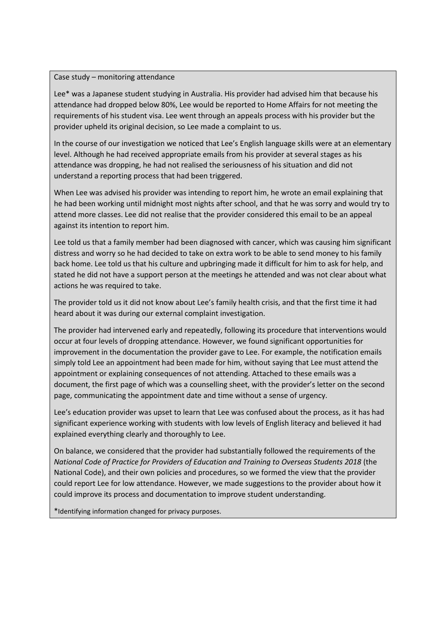#### Case study – monitoring attendance

Lee\* was a Japanese student studying in Australia. His provider had advised him that because his attendance had dropped below 80%, Lee would be reported to Home Affairs for not meeting the requirements of his student visa. Lee went through an appeals process with his provider but the provider upheld its original decision, so Lee made a complaint to us.

In the course of our investigation we noticed that Lee's English language skills were at an elementary level. Although he had received appropriate emails from his provider at several stages as his attendance was dropping, he had not realised the seriousness of his situation and did not understand a reporting process that had been triggered.

When Lee was advised his provider was intending to report him, he wrote an email explaining that he had been working until midnight most nights after school, and that he was sorry and would try to attend more classes. Lee did not realise that the provider considered this email to be an appeal against its intention to report him.

Lee told us that a family member had been diagnosed with cancer, which was causing him significant distress and worry so he had decided to take on extra work to be able to send money to his family back home. Lee told us that his culture and upbringing made it difficult for him to ask for help, and stated he did not have a support person at the meetings he attended and was not clear about what actions he was required to take.

The provider told us it did not know about Lee's family health crisis, and that the first time it had heard about it was during our external complaint investigation.

The provider had intervened early and repeatedly, following its procedure that interventions would occur at four levels of dropping attendance. However, we found significant opportunities for improvement in the documentation the provider gave to Lee. For example, the notification emails simply told Lee an appointment had been made for him, without saying that Lee must attend the appointment or explaining consequences of not attending. Attached to these emails was a document, the first page of which was a counselling sheet, with the provider's letter on the second page, communicating the appointment date and time without a sense of urgency.

Lee's education provider was upset to learn that Lee was confused about the process, as it has had significant experience working with students with low levels of English literacy and believed it had explained everything clearly and thoroughly to Lee.

On balance, we considered that the provider had substantially followed the requirements of the *National Code of Practice for Providers of Education and Training to Overseas Students 2018* (the National Code), and their own policies and procedures, so we formed the view that the provider could report Lee for low attendance. However, we made suggestions to the provider about how it could improve its process and documentation to improve student understanding.

\*Identifying information changed for privacy purposes.